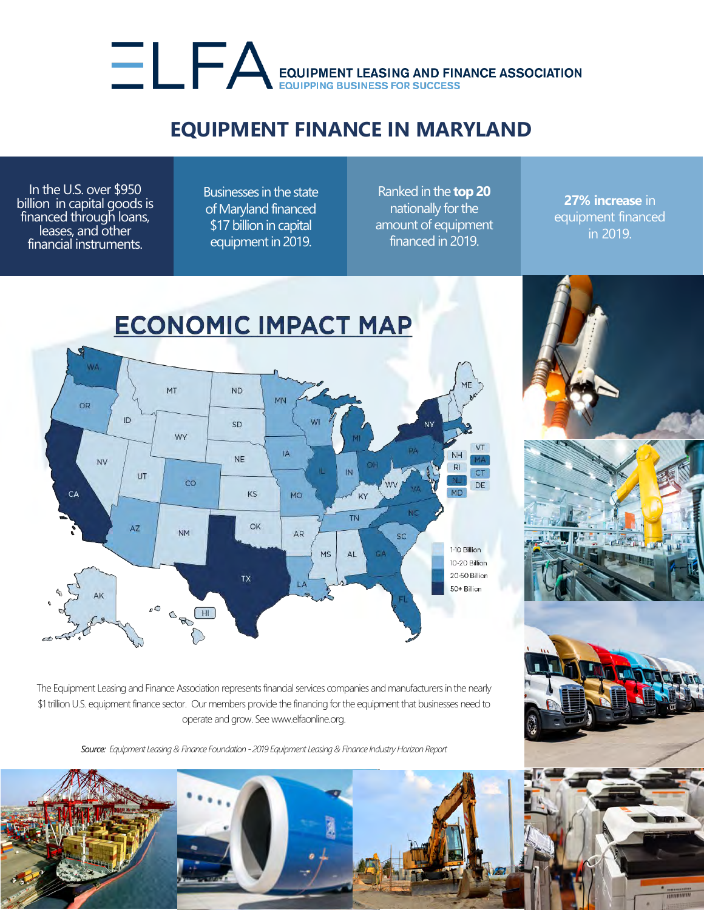## EQUIPMENT LEASING AND FINANCE ASSOCIATION

## **EQUIPMENT FINANCE IN MARYLAND**

In the U.S. over \$950 billion in capital goods is financed through loans, leases, and other financial instruments.

Businesses in the state of Maryland financed \$17 billion in capital equipment in 2019.

Ranked in the **top 20** nationally for the amount of equipment financed in 2019.

**27% increase** in equipment financed in 2019.



The Equipment Leasing and Finance Association represents financial services companies and manufacturers in the nearly \$1 trillion U.S. equipment finance sector. Our members provide the financing for the equipment that businesses need to operate and grow. See www.elfaonline.org.

*Source: Equipment Leasing & Finance Foundation - 2019 Equipment Leasing & Finance Industry Horizon Report*